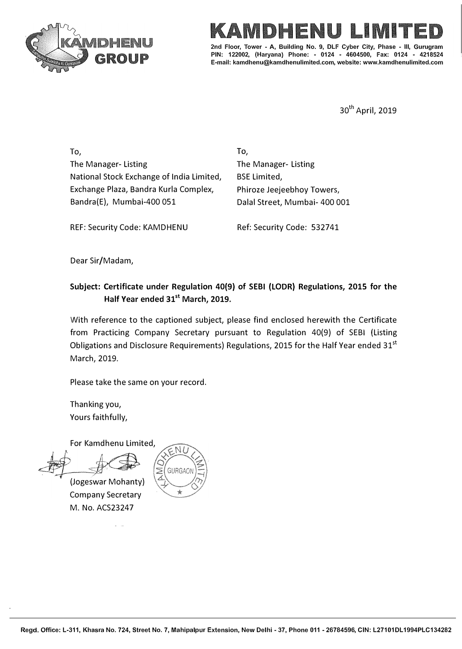



**7ower - A, Building No. 9, DLF Cyber City, PIN: 122002, (Haryana) Phone: - 0124 - 4604500, Fax: 0124 - 4218524 E-mail: kamdhenu@kamdhenulimited.com, website: www.kamdhenulimited.com**

30th April, 2019

To, The Manager- Listing National Stock Exchange of India Limited, Exchange Plaza, Sandra Kurla Complex, Bandra(E), Mumbai-400 051

**To,**  The Manager- Listing BSE Limited, Phiroze Jeejeebhoy Towers, Dalal Street, Mumbai- 400 001

REF: Security Code: KAMDHENU

Ref: Security Code: 532741

Dear Sir/Madam,

## **Subject: Certificate under Regulation 40(9) of SEBI {LODR} Regulations, 2015 for the Half Year ended 31st March, 2019.**

With reference to the captioned subject, please find enclosed herewith the Certificate from Practicing Company Secretary pursuant to Regulation 40(9} of SEBI {Listing Obligations and Disclosure Requirements) Regulations, 2015 for the Half Year ended  $31^{st}$ March, 2019.

Please take the same on your record.

Thanking you, Yours faithfully,

For Kamdhenu Limited,

(Jogeswar Mohanty) Company Secretary M. No. ACS23247

 $\mathbb{R}^2$  and